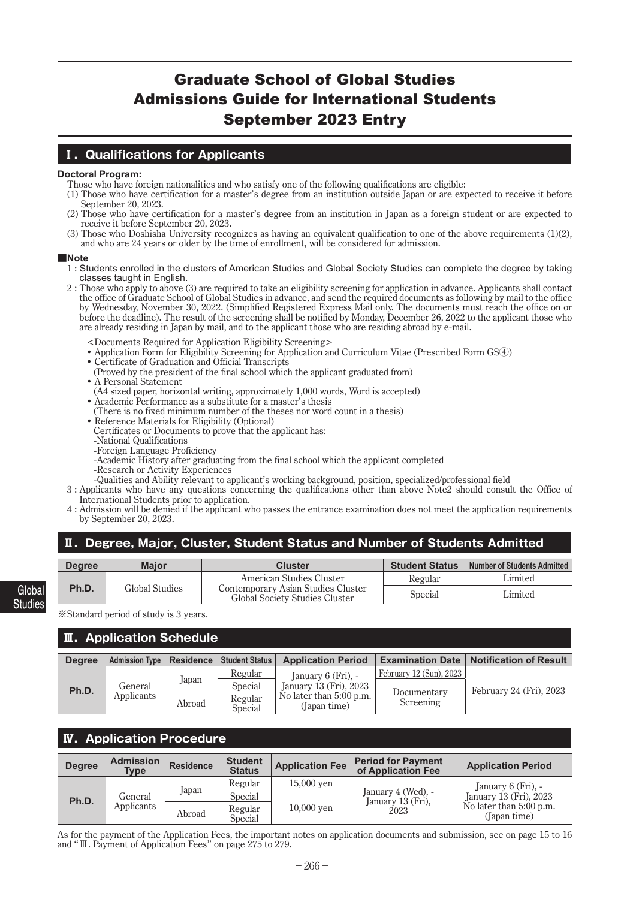# Graduate School of Global Studies Admissions Guide for International Students September 2023 Entry

## **Ⅰ.Qualifications for Applicants**

### **Doctoral Program:**

- Those who have foreign nationalities and who satisfy one of the following qualifications are eligible:
- (1) Those who have certification for a master's degree from an institution outside Japan or are expected to receive it before September 20, 2023.
- (2) Those who have certification for a master's degree from an institution in Japan as a foreign student or are expected to receive it before September 20, 2023.
- (3) Those who Doshisha University recognizes as having an equivalent qualification to one of the above requirements  $(1)(2)$ , and who are 24 years or older by the time of enrollment, will be considered for admission.

### **■Note**

- 1 : Students enrolled in the clusters of American Studies and Global Society Studies can complete the degree by taking classes taught in English.
- 2 : Those who apply to above (3) are required to take an eligibility screening for application in advance. Applicants shall contact the office of Graduate School of Global Studies in advance, and send the required documents as following by mail to the office by Wednesday, November 30, 2022. (Simplified Registered Express Mail only. The documents must reach the office on or before the deadline). The result of the screening shall be notified by Monday, December 26, 2022 to the applicant those who are already residing in Japan by mail, and to the applicant those who are residing abroad by e-mail.
	- <Documents Required for Application Eligibility Screening>
	- Application Form for Eligibility Screening for Application and Curriculum Vitae (Prescribed Form GS④)
	- Certificate of Graduation and Official Transcripts
	- (Proved by the president of the final school which the applicant graduated from)
	- A Personal Statement
	- (A4 sized paper, horizontal writing, approximately 1,000 words, Word is accepted)
	- Academic Performance as a substitute for a master's thesis (There is no fixed minimum number of the theses nor word count in a thesis)
	- Reference Materials for Eligibility (Optional)
	- Certificates or Documents to prove that the applicant has:
	- -National Qualifications
	- -Foreign Language Proficiency
	- -Academic History after graduating from the final school which the applicant completed
	- -Research or Activity Experiences
	- -Qualities and Ability relevant to applicant's working background, position, specialized/professional field
- 3 : Applicants who have any questions concerning the qualifications other than above Note2 should consult the Office of International Students prior to application.
- 4 : Admission will be denied if the applicant who passes the entrance examination does not meet the application requirements by September 20, 2023.

## **Ⅱ.Degree, Major, Cluster, Student Status and Number of Students Admitted**

| <b>Degree</b> | <b>Maior</b>   | <b>Cluster</b>                                                       | <b>Student Status</b> | <b>Number of Students Admitted</b> |
|---------------|----------------|----------------------------------------------------------------------|-----------------------|------------------------------------|
|               |                | American Studies Cluster                                             | Regular               | Limited                            |
| Ph.D.         | Global Studies | Contemporary Asian Studies Cluster<br>Global Society Studies Cluster | Special               | Limited                            |

※Standard period of study is 3 years.

**Global Studies**

### **Ⅲ.Application Schedule**

| <b>Degree</b> | Admission Type   Residence   Student Status |        |                           | <b>Application Period</b>                                         | <b>Examination Date</b>  | Notification of Result  |
|---------------|---------------------------------------------|--------|---------------------------|-------------------------------------------------------------------|--------------------------|-------------------------|
|               |                                             |        | Regular                   | January 6 (Fri), -                                                | February 12 (Sun), 2023  |                         |
| Ph.D.         | General<br>Applicants                       | Japan  | Special                   | January 13 (Fri), 2023<br>No later than 5:00 p.m.<br>(Japan time) | Documentary<br>Screening | February 24 (Fri), 2023 |
|               |                                             | Abroad | Regular<br><b>Special</b> |                                                                   |                          |                         |

## **Ⅳ.Application Procedure**

| <b>Degree</b> | <b>Admission</b><br><b>Type</b> | <b>Residence</b> | <b>Student</b><br><b>Status</b> | <b>Application Fee</b> | <b>Period for Payment</b><br>of Application Fee | <b>Application Period</b>                    |                                         |
|---------------|---------------------------------|------------------|---------------------------------|------------------------|-------------------------------------------------|----------------------------------------------|-----------------------------------------|
|               | General                         | Japan            | Regular<br>Special              | $15,000$ yen           | January 4 (Wed), -                              | January 6 (Fri), -<br>January 13 (Fri), 2023 |                                         |
| Ph.D.         | Applicants                      | Abroad           | Regular<br><b>Special</b>       | $10,000$ yen           |                                                 | January 13 (Fri),<br>2023                    | No later than 5:00 p.m.<br>(Japan time) |

As for the payment of the Application Fees, the important notes on application documents and submission, see on page 15 to 16 and "Ⅲ. Payment of Application Fees" on page 275 to 279.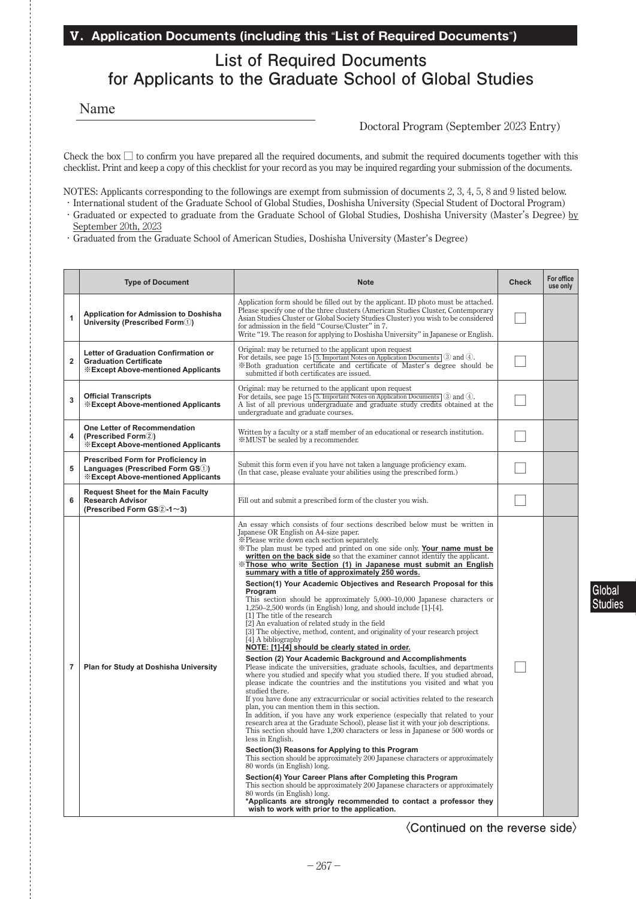### **Ⅴ.Application Documents (including this** "**List of Required Documents**"**)**

# **List of Required Documents for Applicants to the Graduate School of Global Studies**

Name

### Doctoral Program (September 2023 Entry)

Check the box  $\square$  to confirm you have prepared all the required documents, and submit the required documents together with this checklist. Print and keep a copy of this checklist for your record as you may be inquired regarding your submission of the documents.

NOTES: Applicants corresponding to the followings are exempt from submission of documents 2, 3, 4, 5, 8 and 9 listed below.

- ・International student of the Graduate School of Global Studies, Doshisha University (Special Student of Doctoral Program) ・ Graduated or expected to graduate from the Graduate School of Global Studies, Doshisha University (Master's Degree) by September 20th, 2023
- ・ Graduated from the Graduate School of American Studies, Doshisha University (Master's Degree)

|                | <b>Type of Document</b>                                                                                              | <b>Note</b>                                                                                                                                                                                                                                                                                                                                                                                                                                                                                                                                                                                                                                                                                                                                                                                                                                                                                                                                                                                                                                                                                                                                                                                                                                                                                                                                                                                                                                                                                                                                                                                                                                                                                                                                                                                                                                                                                                                                                                                                                                                                                                                                                 | <b>Check</b> | For office<br>use only |
|----------------|----------------------------------------------------------------------------------------------------------------------|-------------------------------------------------------------------------------------------------------------------------------------------------------------------------------------------------------------------------------------------------------------------------------------------------------------------------------------------------------------------------------------------------------------------------------------------------------------------------------------------------------------------------------------------------------------------------------------------------------------------------------------------------------------------------------------------------------------------------------------------------------------------------------------------------------------------------------------------------------------------------------------------------------------------------------------------------------------------------------------------------------------------------------------------------------------------------------------------------------------------------------------------------------------------------------------------------------------------------------------------------------------------------------------------------------------------------------------------------------------------------------------------------------------------------------------------------------------------------------------------------------------------------------------------------------------------------------------------------------------------------------------------------------------------------------------------------------------------------------------------------------------------------------------------------------------------------------------------------------------------------------------------------------------------------------------------------------------------------------------------------------------------------------------------------------------------------------------------------------------------------------------------------------------|--------------|------------------------|
| 1              | <b>Application for Admission to Doshisha</b><br>University (Prescribed Form(1))                                      | Application form should be filled out by the applicant. ID photo must be attached.<br>Please specify one of the three clusters (American Studies Cluster, Contemporary<br>Asian Studies Cluster or Global Society Studies Cluster) you wish to be considered<br>for admission in the field "Course/Cluster" in 7.<br>Write "19. The reason for applying to Doshisha University" in Japanese or English.                                                                                                                                                                                                                                                                                                                                                                                                                                                                                                                                                                                                                                                                                                                                                                                                                                                                                                                                                                                                                                                                                                                                                                                                                                                                                                                                                                                                                                                                                                                                                                                                                                                                                                                                                     |              |                        |
| $\overline{2}$ | Letter of Graduation Confirmation or<br><b>Graduation Certificate</b><br><b>Except Above-mentioned Applicants</b>    | Original: may be returned to the applicant upon request<br>For details, see page 15 5. Important Notes on Application Documents 3 and 4.<br>*Both graduation certificate and certificate of Master's degree should be<br>submitted if both certificates are issued.                                                                                                                                                                                                                                                                                                                                                                                                                                                                                                                                                                                                                                                                                                                                                                                                                                                                                                                                                                                                                                                                                                                                                                                                                                                                                                                                                                                                                                                                                                                                                                                                                                                                                                                                                                                                                                                                                         |              |                        |
| 3              | <b>Official Transcripts</b><br><b>Except Above-mentioned Applicants</b>                                              | Original: may be returned to the applicant upon request<br>For details, see page 15 $\overline{5}$ . Important Notes on Application Documents 3 and 4.<br>A list of all previous undergraduate and graduate study credits obtained at the<br>undergraduate and graduate courses.                                                                                                                                                                                                                                                                                                                                                                                                                                                                                                                                                                                                                                                                                                                                                                                                                                                                                                                                                                                                                                                                                                                                                                                                                                                                                                                                                                                                                                                                                                                                                                                                                                                                                                                                                                                                                                                                            |              |                        |
| 4              | <b>One Letter of Recommendation</b><br>(Prescribed Form2)<br><b><i><b>WExcept Above-mentioned Applicants</b></i></b> | Written by a faculty or a staff member of an educational or research institution.<br><b>※MUST</b> be sealed by a recommender.                                                                                                                                                                                                                                                                                                                                                                                                                                                                                                                                                                                                                                                                                                                                                                                                                                                                                                                                                                                                                                                                                                                                                                                                                                                                                                                                                                                                                                                                                                                                                                                                                                                                                                                                                                                                                                                                                                                                                                                                                               |              |                        |
| 5              | Prescribed Form for Proficiency in<br>Languages (Prescribed Form GS1)<br><b>Except Above-mentioned Applicants</b>    | Submit this form even if you have not taken a language proficiency exam.<br>(In that case, please evaluate your abilities using the prescribed form.)                                                                                                                                                                                                                                                                                                                                                                                                                                                                                                                                                                                                                                                                                                                                                                                                                                                                                                                                                                                                                                                                                                                                                                                                                                                                                                                                                                                                                                                                                                                                                                                                                                                                                                                                                                                                                                                                                                                                                                                                       |              |                        |
| 6              | <b>Request Sheet for the Main Faculty</b><br><b>Research Advisor</b><br>(Prescribed Form $GS(2-1\sim3)$ )            | Fill out and submit a prescribed form of the cluster you wish.                                                                                                                                                                                                                                                                                                                                                                                                                                                                                                                                                                                                                                                                                                                                                                                                                                                                                                                                                                                                                                                                                                                                                                                                                                                                                                                                                                                                                                                                                                                                                                                                                                                                                                                                                                                                                                                                                                                                                                                                                                                                                              |              |                        |
| $\overline{7}$ | Plan for Study at Doshisha University                                                                                | An essay which consists of four sections described below must be written in<br>Japanese OR English on A4-size paper.<br>*Please write down each section separately.<br>*The plan must be typed and printed on one side only. Your name must be<br>written on the back side so that the examiner cannot identify the applicant.<br>X Those who write Section (1) in Japanese must submit an English<br>summary with a title of approximately 250 words.<br>Section(1) Your Academic Objectives and Research Proposal for this<br>Program<br>This section should be approximately $5,000-10,000$ Japanese characters or<br>$1,250-2,500$ words (in English) long, and should include [1]-[4].<br>[1] The title of the research<br>[2] An evaluation of related study in the field<br>[3] The objective, method, content, and originality of your research project<br>[4] A bibliography<br>NOTE: [1]-[4] should be clearly stated in order.<br>Section (2) Your Academic Background and Accomplishments<br>Please indicate the universities, graduate schools, faculties, and departments<br>where you studied and specify what you studied there. If you studied abroad,<br>please indicate the countries and the institutions you visited and what you<br>studied there.<br>If you have done any extracurricular or social activities related to the research<br>plan, you can mention them in this section.<br>In addition, if you have any work experience (especially that related to your<br>research area at the Graduate School), please list it with your job descriptions.<br>This section should have 1,200 characters or less in Japanese or 500 words or<br>less in English.<br>Section(3) Reasons for Applying to this Program<br>This section should be approximately 200 Japanese characters or approximately<br>80 words (in English) long.<br>Section(4) Your Career Plans after Completing this Program<br>This section should be approximately 200 Japanese characters or approximately<br>80 words (in English) long.<br>*Applicants are strongly recommended to contact a professor they<br>wish to work with prior to the application. |              |                        |

**〈Continued on the reverse side〉**

**Global Studies**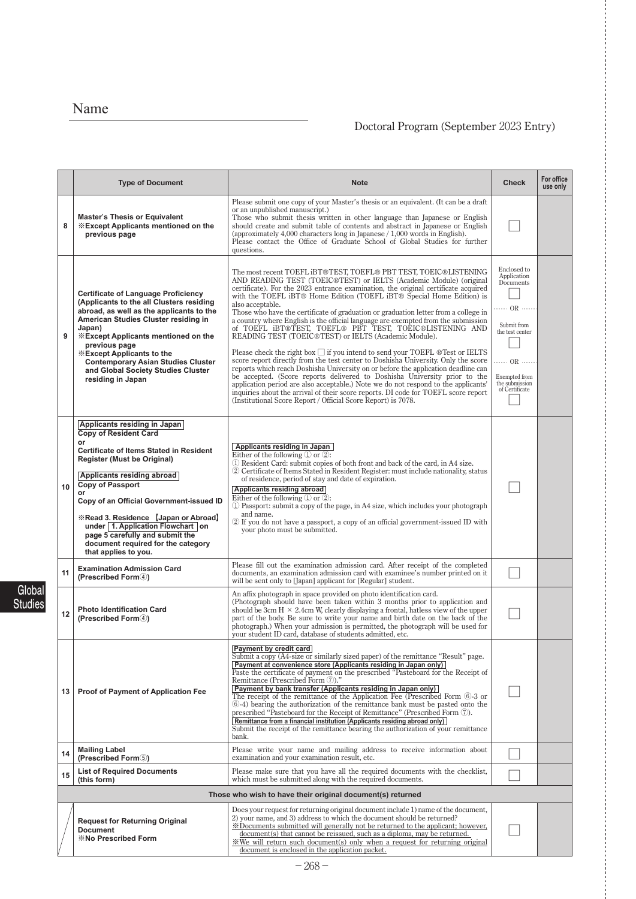# Name

## Doctoral Program (September 2023 Entry)

|    | <b>Type of Document</b>                                                                                                                                                                                                                                                                                                                                                                                                                              | <b>Note</b>                                                                                                                                                                                                                                                                                                                                                                                                                                                                                                                                                                                                                                                                                                                                                                                                                                                                                                                                                                                                                                                                                                                                                                                                                   | <b>Check</b>                                                                                                                                                                   | For office<br>use only |
|----|------------------------------------------------------------------------------------------------------------------------------------------------------------------------------------------------------------------------------------------------------------------------------------------------------------------------------------------------------------------------------------------------------------------------------------------------------|-------------------------------------------------------------------------------------------------------------------------------------------------------------------------------------------------------------------------------------------------------------------------------------------------------------------------------------------------------------------------------------------------------------------------------------------------------------------------------------------------------------------------------------------------------------------------------------------------------------------------------------------------------------------------------------------------------------------------------------------------------------------------------------------------------------------------------------------------------------------------------------------------------------------------------------------------------------------------------------------------------------------------------------------------------------------------------------------------------------------------------------------------------------------------------------------------------------------------------|--------------------------------------------------------------------------------------------------------------------------------------------------------------------------------|------------------------|
| 8  | <b>Master's Thesis or Equivalent</b><br><b>Except Applicants mentioned on the</b><br>previous page                                                                                                                                                                                                                                                                                                                                                   | Please submit one copy of your Master's thesis or an equivalent. (It can be a draft<br>or an unpublished manuscript.)<br>Those who submit thesis written in other language than Japanese or English<br>should create and submit table of contents and abstract in Japanese or English<br>(approximately 4,000 characters long in Japanese $/1,000$ words in English).<br>Please contact the Office of Graduate School of Global Studies for further<br>questions.                                                                                                                                                                                                                                                                                                                                                                                                                                                                                                                                                                                                                                                                                                                                                             |                                                                                                                                                                                |                        |
| 9  | <b>Certificate of Language Proficiency</b><br>(Applicants to the all Clusters residing<br>abroad, as well as the applicants to the<br>American Studies Cluster residing in<br>Japan)<br><b><i><b>Except Applicants mentioned on the</b></i></b><br>previous page<br><b><i><b>Except Applicants to the</b></i></b><br><b>Contemporary Asian Studies Cluster</b><br>and Global Society Studies Cluster<br>residing in Japan                            | The most recent TOEFL iBT®TEST, TOEFL® PBT TEST, TOEIC®LISTENING<br>AND READING TEST (TOEIC®TEST) or IELTS (Academic Module) (original<br>certificate). For the 2023 entrance examination, the original certificate acquired<br>with the TOEFL iBT® Home Edition (TOEFL iBT® Special Home Edition) is<br>also acceptable.<br>Those who have the certificate of graduation or graduation letter from a college in<br>a country where English is the official language are exempted from the submission<br>of TOEFL IBT®TEST, TOEFL® PBT TEST, TOEIC®LISTENING AND<br>READING TEST (TOEIC®TEST) or IELTS (Academic Module).<br>Please check the right box $\Box$ if you intend to send your TOEFL $\circledR$ Test or IELTS<br>score report directly from the test center to Doshisha University. Only the score<br>reports which reach Doshisha University on or before the application deadline can<br>be accepted. (Score reports delivered to Doshisha University prior to the<br>application period are also acceptable.) Note we do not respond to the applicants'<br>inquiries about the arrival of their score reports. DI code for TOEFL score report<br>(Institutional Score Report / Official Score Report) is 7078. | Enclosed to<br>Application<br>Documents<br>$\cdots$ OR $\cdots$<br>Submit from<br>the test center<br>$\cdots$ OR $\cdots$<br>Exempted from<br>the submission<br>of Certificate |                        |
| 10 | Applicants residing in Japan<br><b>Copy of Resident Card</b><br>or<br><b>Certificate of Items Stated in Resident</b><br><b>Register (Must be Original)</b><br>Applicants residing abroad<br><b>Copy of Passport</b><br>Copy of an Official Government-issued ID<br><b>Example 25 Network</b> [Japan or Abroad]<br>under 1. Application Flowchart on<br>page 5 carefully and submit the<br>document required for the category<br>that applies to you. | Applicants residing in Japan<br>Either of the following $(1)$ or $(2)$ :<br>1) Resident Card: submit copies of both front and back of the card, in A4 size.<br>2 Certificate of Items Stated in Resident Register: must include nationality, status<br>of residence, period of stay and date of expiration.<br>Applicants residing abroad<br>Either of the following $\mathbb D$ or $\mathbb Q$ :<br>1) Passport: submit a copy of the page, in A4 size, which includes your photograph<br>and name.<br>(2) If you do not have a passport, a copy of an official government-issued ID with<br>your photo must be submitted.                                                                                                                                                                                                                                                                                                                                                                                                                                                                                                                                                                                                   |                                                                                                                                                                                |                        |
| 11 | <b>Examination Admission Card</b><br>(Prescribed Form4)                                                                                                                                                                                                                                                                                                                                                                                              | Please fill out the examination admission card. After receipt of the completed<br>documents, an examination admission card with examinee's number printed on it<br>will be sent only to [Japan] applicant for [Regular] student.                                                                                                                                                                                                                                                                                                                                                                                                                                                                                                                                                                                                                                                                                                                                                                                                                                                                                                                                                                                              |                                                                                                                                                                                |                        |
| 12 | <b>Photo Identification Card</b><br>(Prescribed Form4)                                                                                                                                                                                                                                                                                                                                                                                               | An affix photograph in space provided on photo identification card.<br>(Photograph should have been taken within 3 months prior to application and<br>should be 3cm $H \times 2.4$ cm W, clearly displaying a frontal, hatless view of the upper<br>part of the body. Be sure to write your name and birth date on the back of the<br>photograph.) When your admission is permitted, the photograph will be used for<br>your student ID card, database of students admitted, etc.                                                                                                                                                                                                                                                                                                                                                                                                                                                                                                                                                                                                                                                                                                                                             |                                                                                                                                                                                |                        |
| 13 | <b>Proof of Payment of Application Fee</b>                                                                                                                                                                                                                                                                                                                                                                                                           | <b>Payment by credit card</b><br>Submit a copy (A4-size or similarly sized paper) of the remittance "Result" page.<br>Payment at convenience store (Applicants residing in Japan only)<br>Paste the certificate of payment on the prescribed "Pasteboard for the Receipt of<br>Remittance (Prescribed Form 7)."<br>Payment by bank transfer (Applicants residing in Japan only)<br>The receipt of the remittance of the Application Fee (Prescribed Form $(6)$ -3 or<br>(6)-4) bearing the authorization of the remittance bank must be pasted onto the<br>prescribed "Pasteboard for the Receipt of Remittance" (Prescribed Form 7).<br>Remittance from a financial institution (Applicants residing abroad only)<br>Submit the receipt of the remittance bearing the authorization of your remittance<br>bank.                                                                                                                                                                                                                                                                                                                                                                                                              |                                                                                                                                                                                |                        |
| 14 | <b>Mailing Label</b><br>(Prescribed Form 5)                                                                                                                                                                                                                                                                                                                                                                                                          | Please write your name and mailing address to receive information about<br>examination and your examination result, etc.                                                                                                                                                                                                                                                                                                                                                                                                                                                                                                                                                                                                                                                                                                                                                                                                                                                                                                                                                                                                                                                                                                      |                                                                                                                                                                                |                        |
| 15 | <b>List of Required Documents</b><br>(this form)                                                                                                                                                                                                                                                                                                                                                                                                     | Please make sure that you have all the required documents with the checklist,<br>which must be submitted along with the required documents.                                                                                                                                                                                                                                                                                                                                                                                                                                                                                                                                                                                                                                                                                                                                                                                                                                                                                                                                                                                                                                                                                   |                                                                                                                                                                                |                        |
|    |                                                                                                                                                                                                                                                                                                                                                                                                                                                      | Those who wish to have their original document(s) returned                                                                                                                                                                                                                                                                                                                                                                                                                                                                                                                                                                                                                                                                                                                                                                                                                                                                                                                                                                                                                                                                                                                                                                    |                                                                                                                                                                                |                        |
|    | <b>Request for Returning Original</b><br><b>Document</b><br><b>X</b> No Prescribed Form                                                                                                                                                                                                                                                                                                                                                              | Does your request for returning original document include 1) name of the document,<br>2) your name, and 3) address to which the document should be returned?<br>*Documents submitted will generally not be returned to the applicant; however,<br>document(s) that cannot be reissued, such as a diploma, may be returned.<br>We will return such document(s) only when a request for returning original<br>document is enclosed in the application packet.                                                                                                                                                                                                                                                                                                                                                                                                                                                                                                                                                                                                                                                                                                                                                                   |                                                                                                                                                                                |                        |